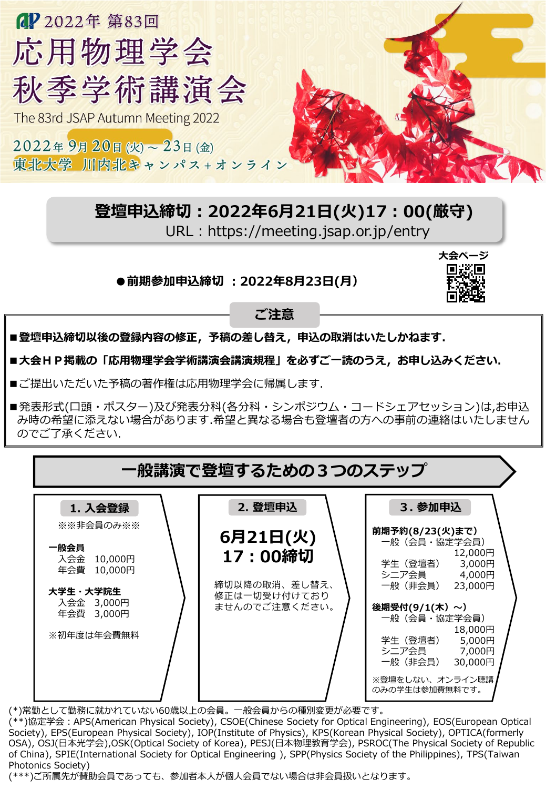

## **登壇申込締切:2022年6月21日(火)17:00(厳守)**

URL: https://meeting.jsap.or.jp/entry

**●前期参加申込締切 :2022年8月23日(月)**



**ご注意**

■登壇申込締切以後の登録内容の修正, 予稿の差し替え, 申込の取消はいたしかねます.

■大会HP掲載の「応用物理学会学術講演会講演規程」を必ずご一読のうえ,お申し込みください.

■ご提出いただいた予稿の著作権は応用物理学会に帰属します.

■発表形式(口頭・ポスター)及び発表分科(各分科・シンポジウム・コードシェアセッション)は,お申込 み時の希望に添えない場合があります.希望と異なる場合も登壇者の方への事前の連絡はいたしません のでご了承ください.

| 一般講演で登壇するための3つのステップ                                                                                              |  |                                                                                  |                                                                                                                                                                                                                                                                 |  |  |  |
|------------------------------------------------------------------------------------------------------------------|--|----------------------------------------------------------------------------------|-----------------------------------------------------------------------------------------------------------------------------------------------------------------------------------------------------------------------------------------------------------------|--|--|--|
| 1. 入会登録<br>※※非会員のみ※※<br>一般会員<br>入会金 10,000円<br>年会費 10,000円<br>大学生・大学院生<br>入会金 3,000円<br>年会費 3,000円<br>※初年度は年会費無料 |  | 2. 登壇申込<br>6月21日(火)<br>17:00締切<br>締切以降の取消、差し替え、<br>修正は一切受け付けており<br>ませんのでご注意ください。 | 3. 参加申込<br>前期予約(8/23(火)まで)<br>一般(会員・協定学会員)<br>12,000円<br>学生(登壇者)<br>3,000円<br>シニア会員 4,000円<br>一般(非会員)<br>23,000円<br>後期受付(9/1(木)~)<br>一般(会員・協定学会員)<br>18,000円<br>学生(登壇者)<br>5,000円<br>シニア会員<br>7,000円<br>一般(非会員)<br>30,000円<br>※登壇をしない、オンライン聴講<br>のみの学生は参加費無料です。 |  |  |  |

(\*)常勤として勤務に就かれていない60歳以上の会員。一般会員からの種別変更が必要です。

(\*\*)協定学会:APS(American Physical Society), CSOE(Chinese Society for Optical Engineering), EOS(European Optical Society), EPS(European Physical Society), IOP(Institute of Physics), KPS(Korean Physical Society), OPTICA(formerly OSA), OSJ(日本光学会),OSK(Optical Society of Korea), PESJ(日本物理教育学会), PSROC(The Physical Society of Republic of China), SPIE(International Society for Optical Engineering ), SPP(Physics Society of the Philippines), TPS(Taiwan Photonics Society)

(\*\*\*)ご所属先が賛助会員であっても、参加者本人が個人会員でない場合は非会員扱いとなります。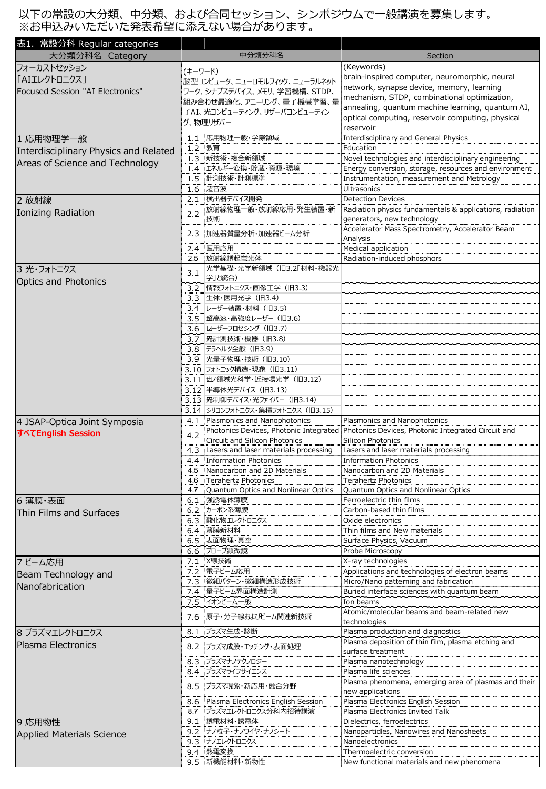以下の常設の大分類、中分類、および合同セッション、シンポジウムで一般講演を募集します。 ※お申込みいただいた発表希望に添えない場合があります。

| 表1. 常設分科 Regular categories<br>大分類分科名 Category |                                                             | 中分類分科名                                                            | Section                                                                                                                   |
|------------------------------------------------|-------------------------------------------------------------|-------------------------------------------------------------------|---------------------------------------------------------------------------------------------------------------------------|
| フォーカストセッション                                    |                                                             |                                                                   | (Keywords)                                                                                                                |
| 「AIエレクトロニクス」                                   | (キーワード)                                                     |                                                                   | brain-inspired computer, neuromorphic, neural                                                                             |
| Focused Session "AI Electronics"               | 脳型コンピュータ、ニューロモルフィック、ニューラルネット<br>ワーク、シナプスデバイス、メモリ、学習機構、STDP、 |                                                                   | network, synapse device, memory, learning                                                                                 |
|                                                |                                                             | 組み合わせ最適化、アニーリング、量子機械学習、量                                          | mechanism, STDP, combinational optimization,                                                                              |
|                                                | 子AI、光コンピューティング、リザーバコンピューティン                                 |                                                                   | annealing, quantum machine learning, quantum AI,                                                                          |
|                                                |                                                             | グ、物理リザバー                                                          | optical computing, reservoir computing, physical                                                                          |
|                                                |                                                             | 1.1 応用物理一般·学際領域                                                   | reservoir<br>Interdisciplinary and General Physics                                                                        |
| 1 応用物理学一般                                      |                                                             | 1.2 教育                                                            | Education                                                                                                                 |
| Interdisciplinary Physics and Related          |                                                             | 1.3 新技術·複合新領域                                                     | Novel technologies and interdisciplinary engineering                                                                      |
| Areas of Science and Technology                |                                                             | 1.4 エネルギー変換・貯蔵・資源・環境                                              | Energy conversion, storage, resources and environment                                                                     |
|                                                |                                                             | 1.5 計測技術·計測標準                                                     | Instrumentation, measurement and Metrology                                                                                |
|                                                |                                                             | 1.6 超音波                                                           | Ultrasonics                                                                                                               |
| 2 放射線                                          |                                                             | 2.1 検出器デバイス開発                                                     | <b>Detection Devices</b>                                                                                                  |
| Ionizing Radiation                             | 2.2                                                         | 放射線物理一般・放射線応用・発生装置・新<br>技術                                        | Radiation physics fundamentals & applications, radiation<br>generators, new technology                                    |
|                                                |                                                             |                                                                   | Accelerator Mass Spectrometry, Accelerator Beam                                                                           |
|                                                |                                                             | 2.3 加速器質量分析・加速器ビーム分析                                              | Analysis                                                                                                                  |
|                                                |                                                             | 2.4 医用応用                                                          | Medical application                                                                                                       |
|                                                |                                                             | 2.5 放射線誘起蛍光体<br>光学基礎·光学新領域 (旧3.2「材料·機器光                           | Radiation-induced phosphors                                                                                               |
| 3 光・フォトニクス                                     | 3.1                                                         | 学」と統合)                                                            |                                                                                                                           |
| <b>Optics and Photonics</b>                    |                                                             | 3.2 情報フォトニクス・画像工学 (旧3.3)                                          |                                                                                                                           |
|                                                |                                                             | 3.3 生体·医用光学 (旧3.4)                                                |                                                                                                                           |
|                                                |                                                             | 3.4  レーザー装置・材料 (旧3.5)                                             |                                                                                                                           |
|                                                |                                                             | 3.5 超高速・高強度レーザー (旧3.6)                                            |                                                                                                                           |
|                                                |                                                             | 3.6  ローザープロセシング (旧3.7)                                            |                                                                                                                           |
|                                                |                                                             | 3.7   斑計測技術・機器 (旧3.8)<br>3.8   テラヘルツ全般 (旧3.9)                     |                                                                                                                           |
|                                                |                                                             | 3.9 光量子物理·技術 (旧3.10)                                              |                                                                                                                           |
|                                                |                                                             | 3.10 フォトニック構造・現象 (旧3.11)                                          |                                                                                                                           |
|                                                |                                                             | 3.11   #ノ領域光科学・近接場光学(旧3.12)                                       |                                                                                                                           |
|                                                |                                                             | 3.12 半導体光デバイス (旧3.13)                                             |                                                                                                                           |
|                                                |                                                             | 3.13   斑制御デバイス・光ファイバー (旧3.14)                                     |                                                                                                                           |
|                                                |                                                             | 3.14 シリコンフォトニクス・集積フォトニクス (旧3.15)                                  |                                                                                                                           |
| 4 JSAP-Optica Joint Symposia                   |                                                             | 4.1 Plasmonics and Nanophotonics                                  | Plasmonics and Nanophotonics<br>Photonics Devices, Photonic Integrated Photonics Devices, Photonic Integrated Circuit and |
| すべてEnglish Session                             | 4.2                                                         | Circuit and Silicon Photonics                                     | <b>Silicon Photonics</b>                                                                                                  |
|                                                |                                                             | 4.3 Lasers and laser materials processing                         | Lasers and laser materials processing                                                                                     |
|                                                |                                                             | 4.4 Information Photonics                                         | <b>Information Photonics</b>                                                                                              |
|                                                |                                                             | 4.5 Nanocarbon and 2D Materials                                   | Nanocarbon and 2D Materials                                                                                               |
|                                                | 4.6<br>4.7                                                  | <b>Terahertz Photonics</b><br>Quantum Optics and Nonlinear Optics | <b>Terahertz Photonics</b><br>Quantum Optics and Nonlinear Optics                                                         |
| 6 薄膜·表面                                        |                                                             | 6.1 強誘電体薄膜                                                        | Ferroelectric thin films                                                                                                  |
| Thin Films and Surfaces                        |                                                             | 6.2 カーボン系薄膜                                                       | Carbon-based thin films                                                                                                   |
|                                                |                                                             | 6.3 酸化物エレクトロニクス                                                   | Oxide electronics                                                                                                         |
|                                                |                                                             | 6.4 薄膜新材料                                                         | Thin films and New materials                                                                                              |
|                                                |                                                             | 6.5 表面物理·真空                                                       | Surface Physics, Vacuum                                                                                                   |
|                                                |                                                             | 6.6 プローブ顕微鏡<br>7.1 X線技術                                           | Probe Microscopy                                                                                                          |
| 7ビーム応用                                         |                                                             | 7.2 電子ビーム応用                                                       | X-ray technologies<br>Applications and technologies of electron beams                                                     |
| Beam Technology and                            |                                                             | 7.3 微細パターン・微細構造形成技術                                               | Micro/Nano patterning and fabrication                                                                                     |
| Nanofabrication                                |                                                             | 7.4 量子ビーム界面構造計測                                                   | Buried interface sciences with quantum beam                                                                               |
|                                                |                                                             | 7.5 イオンビーム一般                                                      | Ion beams                                                                                                                 |
|                                                |                                                             | 7.6 原子・分子線およびビーム関連新技術                                             | Atomic/molecular beams and beam-related new                                                                               |
|                                                |                                                             |                                                                   | technologies                                                                                                              |
| 8 プラズマエレクトロニクス                                 |                                                             | 8.1 プラズマ生成・診断                                                     | Plasma production and diagnostics<br>Plasma deposition of thin film, plasma etching and                                   |
| Plasma Electronics                             |                                                             | 8.2 プラズマ成膜・エッチング・表面処理                                             | surface treatment                                                                                                         |
|                                                |                                                             | 8.3 プラズマナノテクノロジー                                                  | Plasma nanotechnology                                                                                                     |
|                                                |                                                             | 8.4 プラズマライフサイエンス                                                  | Plasma life sciences                                                                                                      |
|                                                |                                                             | 8.5 プラズマ現象・新応用・融合分野                                               | Plasma phenomena, emerging area of plasmas and their                                                                      |
|                                                |                                                             | 8.6 Plasma Electronics English Session                            | new applications<br>Plasma Electronics English Session                                                                    |
|                                                |                                                             | 8.7 プラズマエレクトロニクス分科内招待講演                                           | Plasma Electronics Invited Talk                                                                                           |
| 9 応用物性                                         |                                                             | 9.1 誘電材料・誘電体                                                      | Dielectrics, ferroelectrics                                                                                               |
| Applied Materials Science                      |                                                             | 9.2 ナノ粒子・ナノワイヤ・ナノシート                                              | Nanoparticles, Nanowires and Nanosheets                                                                                   |
|                                                |                                                             | 9.3 ナノエレクトロニクス                                                    | Nanoelectronics                                                                                                           |
|                                                |                                                             | 9.4 熱電変換                                                          | Thermoelectric conversion                                                                                                 |
|                                                |                                                             | 9.5 新機能材料·新物性                                                     | New functional materials and new phenomena                                                                                |